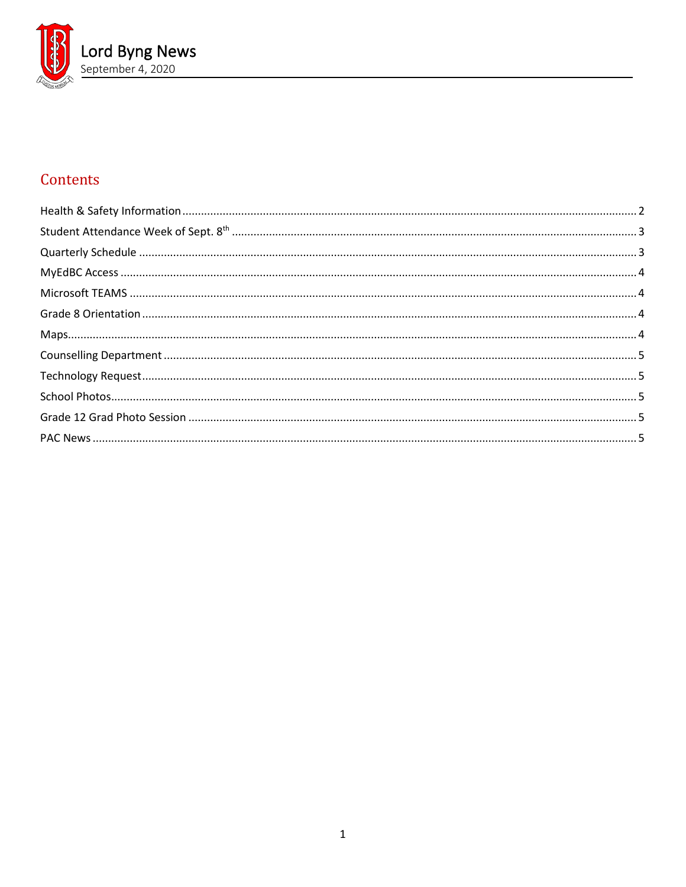

# Contents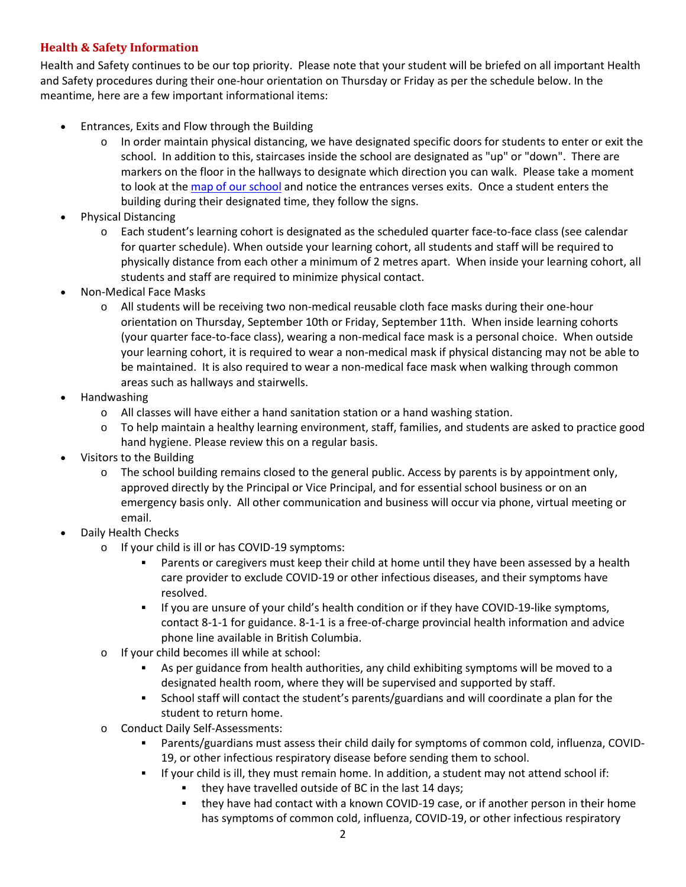# <span id="page-1-0"></span>**Health & Safety Information**

Health and Safety continues to be our top priority. Please note that your student will be briefed on all important Health and Safety procedures during their one-hour orientation on Thursday or Friday as per the schedule below. In the meantime, here are a few important informational items:

- Entrances, Exits and Flow through the Building
	- $\circ$  In order maintain physical distancing, we have designated specific doors for students to enter or exit the school. In addition to this, staircases inside the school are designated as "up" or "down". There are markers on the floor in the hallways to designate which direction you can walk. Please take a moment to look at th[e map of our school](https://www.vsb.bc.ca/repository/SBAttachments/8e11130a-23bc-4157-9294-1c252018cc4d_LordByngSecondaryMapSept2020.pdf) and notice the entrances verses exits. Once a student enters the building during their designated time, they follow the signs.
- Physical Distancing
	- o Each student's learning cohort is designated as the scheduled quarter face-to-face class (see calendar for quarter schedule). When outside your learning cohort, all students and staff will be required to physically distance from each other a minimum of 2 metres apart. When inside your learning cohort, all students and staff are required to minimize physical contact.
- Non-Medical Face Masks
	- o All students will be receiving two non-medical reusable cloth face masks during their one-hour orientation on Thursday, September 10th or Friday, September 11th. When inside learning cohorts (your quarter face-to-face class), wearing a non-medical face mask is a personal choice. When outside your learning cohort, it is required to wear a non-medical mask if physical distancing may not be able to be maintained. It is also required to wear a non-medical face mask when walking through common areas such as hallways and stairwells.
- Handwashing
	- o All classes will have either a hand sanitation station or a hand washing station.
	- o To help maintain a healthy learning environment, staff, families, and students are asked to practice good hand hygiene. Please review this on a regular basis.
- Visitors to the Building
	- $\circ$  The school building remains closed to the general public. Access by parents is by appointment only, approved directly by the Principal or Vice Principal, and for essential school business or on an emergency basis only. All other communication and business will occur via phone, virtual meeting or email.
- Daily Health Checks
	- o If your child is ill or has COVID-19 symptoms:
		- Parents or caregivers must keep their child at home until they have been assessed by a health care provider to exclude COVID-19 or other infectious diseases, and their symptoms have resolved.
		- If you are unsure of your child's health condition or if they have COVID-19-like symptoms, contact 8-1-1 for guidance. 8-1-1 is a free-of-charge provincial health information and advice phone line available in British Columbia.
	- o If your child becomes ill while at school:
		- As per guidance from health authorities, any child exhibiting symptoms will be moved to a designated health room, where they will be supervised and supported by staff.
		- School staff will contact the student's parents/guardians and will coordinate a plan for the student to return home.
	- o Conduct Daily Self-Assessments:
		- Parents/guardians must assess their child daily for symptoms of common cold, influenza, COVID-19, or other infectious respiratory disease before sending them to school.
		- If your child is ill, they must remain home. In addition, a student may not attend school if:
			- they have travelled outside of BC in the last 14 days;
			- they have had contact with a known COVID-19 case, or if another person in their home has symptoms of common cold, influenza, COVID-19, or other infectious respiratory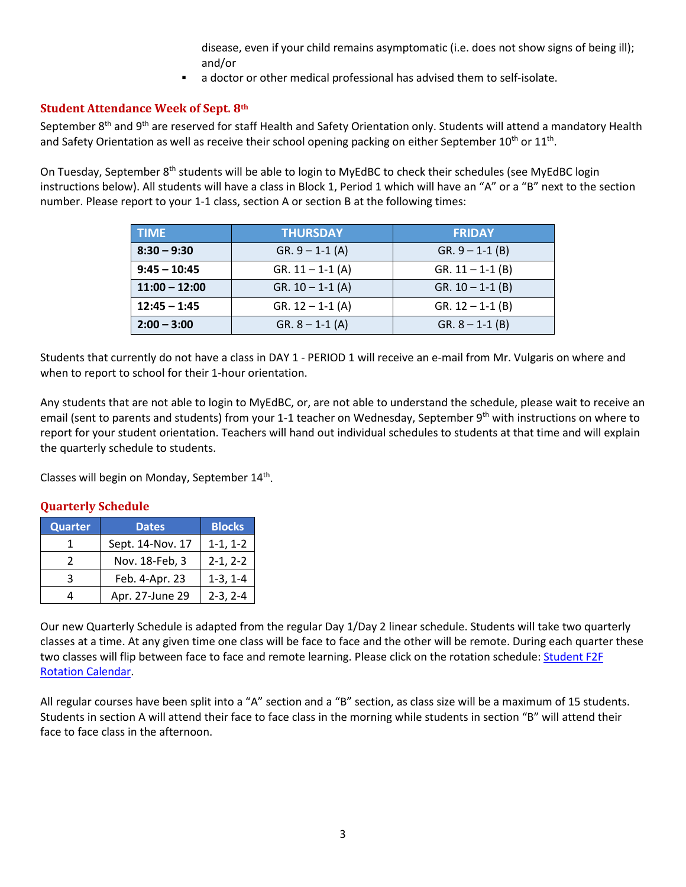disease, even if your child remains asymptomatic (i.e. does not show signs of being ill); and/or

a doctor or other medical professional has advised them to self-isolate.

# <span id="page-2-0"></span>**Student Attendance Week of Sept. 8th**

September 8<sup>th</sup> and 9<sup>th</sup> are reserved for staff Health and Safety Orientation only. Students will attend a mandatory Health and Safety Orientation as well as receive their school opening packing on either September 10<sup>th</sup> or 11<sup>th</sup>.

On Tuesday, September 8<sup>th</sup> students will be able to login to MyEdBC to check their schedules (see MyEdBC login instructions below). All students will have a class in Block 1, Period 1 which will have an "A" or a "B" next to the section number. Please report to your 1-1 class, section A or section B at the following times:

| <b>TIME</b>     | <b>THURSDAY</b>                            | <b>FRIDAY</b>        |
|-----------------|--------------------------------------------|----------------------|
| $8:30 - 9:30$   | $GR. 9 - 1 - 1 (A)$                        | $GR. 9 - 1 - 1 (B)$  |
| $9:45 - 10:45$  | $GR. 11 - 1 - 1 (A)$                       | $GR. 11 - 1-1 (B)$   |
| $11:00 - 12:00$ | $GR. 10 - 1 - 1 (A)$                       | $GR. 10 - 1 - 1 (B)$ |
| $12:45 - 1:45$  | $GR. 12 - 1 - 1 (A)$<br>$GR. 12 - 1-1 (B)$ |                      |
| $2:00 - 3:00$   | $GR. 8 - 1 - 1 (A)$                        | $GR. 8 - 1 - 1 (B)$  |

Students that currently do not have a class in DAY 1 - PERIOD 1 will receive an e-mail from Mr. Vulgaris on where and when to report to school for their 1-hour orientation.

Any students that are not able to login to MyEdBC, or, are not able to understand the schedule, please wait to receive an email (sent to parents and students) from your 1-1 teacher on Wednesday, September 9<sup>th</sup> with instructions on where to report for your student orientation. Teachers will hand out individual schedules to students at that time and will explain the quarterly schedule to students.

<span id="page-2-1"></span>Classes will begin on Monday, September 14<sup>th</sup>.

# **Quarterly Schedule**

| <b>Quarter</b> | <b>Dates</b>                 | <b>Blocks</b> |
|----------------|------------------------------|---------------|
|                | Sept. 14-Nov. 17             | $1-1, 1-2$    |
|                | Nov. 18-Feb, 3               | $2-1, 2-2$    |
| ર              | Feb. 4-Apr. 23<br>$1-3, 1-4$ |               |
|                | Apr. 27-June 29              | $2-3, 2-4$    |

Our new Quarterly Schedule is adapted from the regular Day 1/Day 2 linear schedule. Students will take two quarterly classes at a time. At any given time one class will be face to face and the other will be remote. During each quarter these two classes will flip between face to face and remote learning. Please click on the rotation schedule: Student F2F [Rotation Calendar.](https://www.vsb.bc.ca/repository/SBAttachments/8e11130a-23bc-4157-9294-1c252018cc4d_STUDENTF2FandRemoteBlockCalendar2020-2021.pdf)

All regular courses have been split into a "A" section and a "B" section, as class size will be a maximum of 15 students. Students in section A will attend their face to face class in the morning while students in section "B" will attend their face to face class in the afternoon.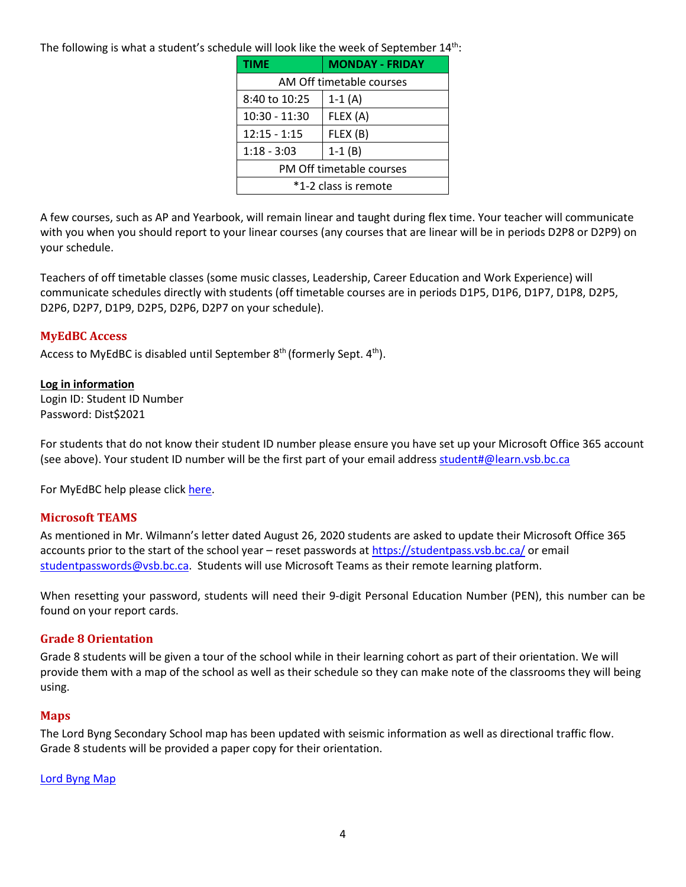The following is what a student's schedule will look like the week of September  $14<sup>th</sup>$ :

| <b>TIME</b>              | <b>MONDAY - FRIDAY</b> |  |  |
|--------------------------|------------------------|--|--|
| AM Off timetable courses |                        |  |  |
| 8:40 to 10:25            | $1-1(A)$               |  |  |
| 10:30 - 11:30            | FLEX (A)               |  |  |
| $12:15 - 1:15$           | FLEX (B)               |  |  |
| $1:18 - 3:03$            | $1-1(B)$               |  |  |
| PM Off timetable courses |                        |  |  |
| *1-2 class is remote     |                        |  |  |

A few courses, such as AP and Yearbook, will remain linear and taught during flex time. Your teacher will communicate with you when you should report to your linear courses (any courses that are linear will be in periods D2P8 or D2P9) on your schedule.

Teachers of off timetable classes (some music classes, Leadership, Career Education and Work Experience) will communicate schedules directly with students (off timetable courses are in periods D1P5, D1P6, D1P7, D1P8, D2P5, D2P6, D2P7, D1P9, D2P5, D2P6, D2P7 on your schedule).

# <span id="page-3-0"></span>**MyEdBC Access**

Access to MyEdBC is disabled until September  $8<sup>th</sup>$  (formerly Sept.  $4<sup>th</sup>$ ).

# **Log in information**

Login ID: Student ID Number Password: Dist\$2021

For students that do not know their student ID number please ensure you have set up your Microsoft Office 365 account (see above). Your student ID number will be the first part of your email address [student#@learn.vsb.bc.ca](mailto:student#@learn.vsb.bc.ca)

For MyEdBC help please click [here.](https://www.vsb.bc.ca/Student_Support/General_Resources/MyEdBCStudentFamilyPortal/Pages/Account-Management.aspx)

# <span id="page-3-1"></span>**Microsoft TEAMS**

As mentioned in Mr. Wilmann's letter dated August 26, 2020 students are asked to update their Microsoft Office 365 accounts prior to the start of the school year – reset passwords at<https://studentpass.vsb.bc.ca/> or email [studentpasswords@vsb.bc.ca.](mailto:studentpasswords@vsb.bc.ca) Students will use Microsoft Teams as their remote learning platform.

When resetting your password, students will need their 9-digit Personal Education Number (PEN), this number can be found on your report cards.

# <span id="page-3-2"></span>**Grade 8 Orientation**

Grade 8 students will be given a tour of the school while in their learning cohort as part of their orientation. We will provide them with a map of the school as well as their schedule so they can make note of the classrooms they will being using.

# <span id="page-3-3"></span>**Maps**

The Lord Byng Secondary School map has been updated with seismic information as well as directional traffic flow. Grade 8 students will be provided a paper copy for their orientation.

#### [Lord Byng Map](https://www.vsb.bc.ca/repository/SBAttachments/8e11130a-23bc-4157-9294-1c252018cc4d_LordByngSecondaryMapSept2020.pdf)